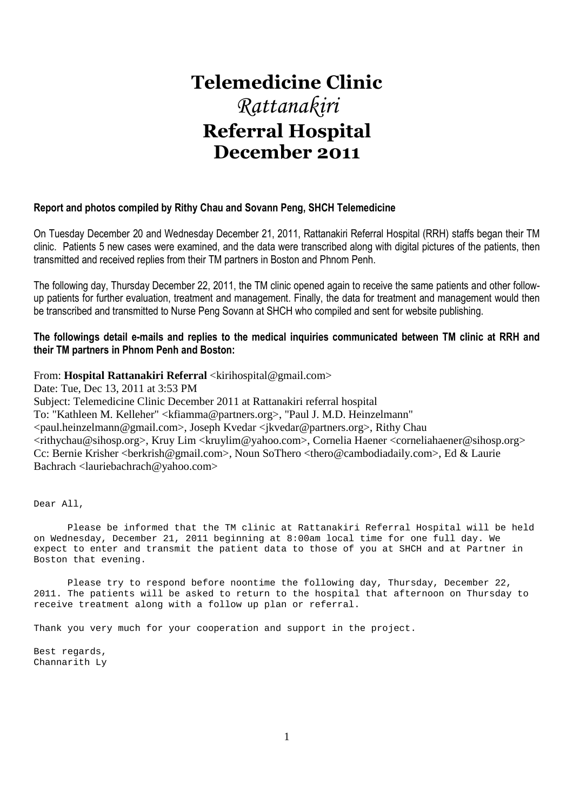# **Telemedicine Clinic**  *Rattanakiri*  **Referral Hospital December 2011**

# **Report and photos compiled by Rithy Chau and Sovann Peng, SHCH Telemedicine**

On Tuesday December 20 and Wednesday December 21, 2011, Rattanakiri Referral Hospital (RRH) staffs began their TM clinic. Patients 5 new cases were examined, and the data were transcribed along with digital pictures of the patients, then transmitted and received replies from their TM partners in Boston and Phnom Penh.

The following day, Thursday December 22, 2011, the TM clinic opened again to receive the same patients and other followup patients for further evaluation, treatment and management. Finally, the data for treatment and management would then be transcribed and transmitted to Nurse Peng Sovann at SHCH who compiled and sent for website publishing.

# **The followings detail e-mails and replies to the medical inquiries communicated between TM clinic at RRH and their TM partners in Phnom Penh and Boston:**

From: **Hospital Rattanakiri Referral** <kirihospital@gmail.com>

Date: Tue, Dec 13, 2011 at 3:53 PM Subject: Telemedicine Clinic December 2011 at Rattanakiri referral hospital To: "Kathleen M. Kelleher" <kfiamma@partners.org>, "Paul J. M.D. Heinzelmann" <paul.heinzelmann@gmail.com>, Joseph Kvedar <jkvedar@partners.org>, Rithy Chau <rithychau@sihosp.org>, Kruy Lim <kruylim@yahoo.com>, Cornelia Haener <corneliahaener@sihosp.org> Cc: Bernie Krisher <berkrish@gmail.com>, Noun SoThero <thero@cambodiadaily.com>, Ed & Laurie Bachrach <lauriebachrach@yahoo.com>

Dear All,

 Please be informed that the TM clinic at Rattanakiri Referral Hospital will be held on Wednesday, December 21, 2011 beginning at 8:00am local time for one full day. We expect to enter and transmit the patient data to those of you at SHCH and at Partner in Boston that evening.

 Please try to respond before noontime the following day, Thursday, December 22, 2011. The patients will be asked to return to the hospital that afternoon on Thursday to receive treatment along with a follow up plan or referral.

Thank you very much for your cooperation and support in the project.

Best regards, Channarith Ly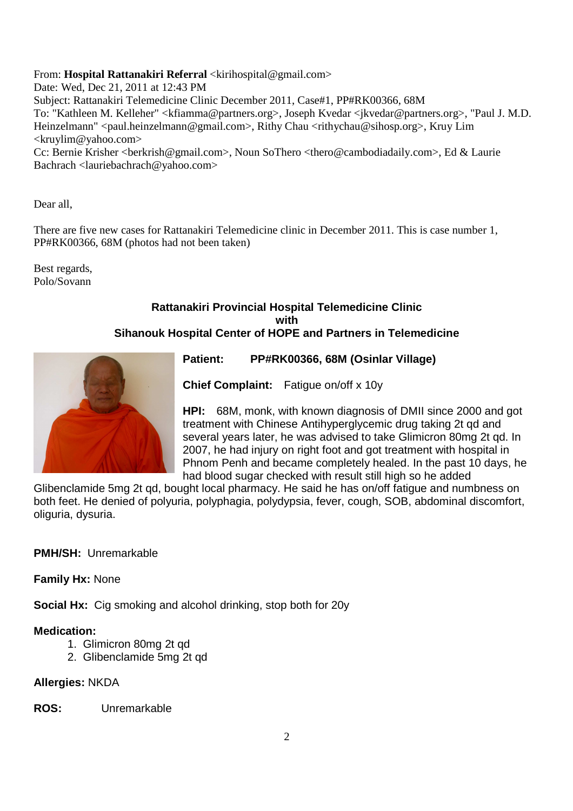# From: **Hospital Rattanakiri Referral** <kirihospital@gmail.com>

Date: Wed, Dec 21, 2011 at 12:43 PM Subject: Rattanakiri Telemedicine Clinic December 2011, Case#1, PP#RK00366, 68M To: "Kathleen M. Kelleher" <kfiamma@partners.org>, Joseph Kvedar <jkvedar@partners.org>, "Paul J. M.D. Heinzelmann" <paul.heinzelmann@gmail.com>, Rithy Chau <rithychau@sihosp.org>, Kruy Lim <kruylim@yahoo.com>

Cc: Bernie Krisher <br/>berkrish@gmail.com>, Noun SoThero <thero@cambodiadaily.com>, Ed & Laurie Bachrach <lauriebachrach@yahoo.com>

Dear all,

There are five new cases for Rattanakiri Telemedicine clinic in December 2011. This is case number 1, PP#RK00366, 68M (photos had not been taken)

Best regards, Polo/Sovann

# **Rattanakiri Provincial Hospital Telemedicine Clinic with Sihanouk Hospital Center of HOPE and Partners in Telemedicine**



**Patient: PP#RK00366, 68M (Osinlar Village)** 

**Chief Complaint:** Fatigue on/off x 10y

**HPI:** 68M, monk, with known diagnosis of DMII since 2000 and got treatment with Chinese Antihyperglycemic drug taking 2t qd and several years later, he was advised to take Glimicron 80mg 2t qd. In 2007, he had injury on right foot and got treatment with hospital in Phnom Penh and became completely healed. In the past 10 days, he had blood sugar checked with result still high so he added

Glibenclamide 5mg 2t qd, bought local pharmacy. He said he has on/off fatigue and numbness on both feet. He denied of polyuria, polyphagia, polydypsia, fever, cough, SOB, abdominal discomfort, oliguria, dysuria.

# **PMH/SH:** Unremarkable

**Family Hx:** None

**Social Hx:** Cig smoking and alcohol drinking, stop both for 20y

# **Medication:**

- 1. Glimicron 80mg 2t qd
- 2. Glibenclamide 5mg 2t qd

# **Allergies:** NKDA

**ROS:** Unremarkable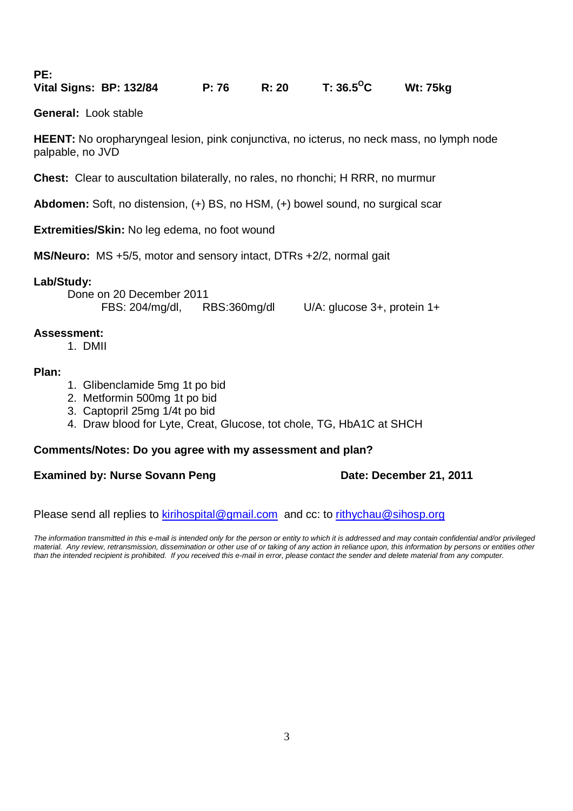| . |                         |       |       |                      |                 |
|---|-------------------------|-------|-------|----------------------|-----------------|
|   | Vital Signs: BP: 132/84 | P: 76 | R: 20 | T: 36.5 $^{\circ}$ C | <b>Wt: 75kg</b> |

**General:** Look stable

**PE:** 

**HEENT:** No oropharyngeal lesion, pink conjunctiva, no icterus, no neck mass, no lymph node palpable, no JVD

**Chest:** Clear to auscultation bilaterally, no rales, no rhonchi; H RRR, no murmur

**Abdomen:** Soft, no distension, (+) BS, no HSM, (+) bowel sound, no surgical scar

**Extremities/Skin:** No leg edema, no foot wound

**MS/Neuro:** MS +5/5, motor and sensory intact, DTRs +2/2, normal gait

# **Lab/Study:**

 Done on 20 December 2011 FBS: 204/mg/dl, RBS:360mg/dl U/A: glucose 3+, protein 1+

# **Assessment:**

1. DMII

# **Plan:**

- 1. Glibenclamide 5mg 1t po bid
- 2. Metformin 500mg 1t po bid
- 3. Captopril 25mg 1/4t po bid
- 4. Draw blood for Lyte, Creat, Glucose, tot chole, TG, HbA1C at SHCH

# **Comments/Notes: Do you agree with my assessment and plan?**

# **Examined by: Nurse Sovann Peng by and Bate: December 21, 2011**

Please send all replies to kirihospital@gmail.com and cc: to rithychau@sihosp.org

The information transmitted in this e-mail is intended only for the person or entity to which it is addressed and may contain confidential and/or privileged material. Any review, retransmission, dissemination or other use of or taking of any action in reliance upon, this information by persons or entities other than the intended recipient is prohibited. If you received this e-mail in error, please contact the sender and delete material from any computer.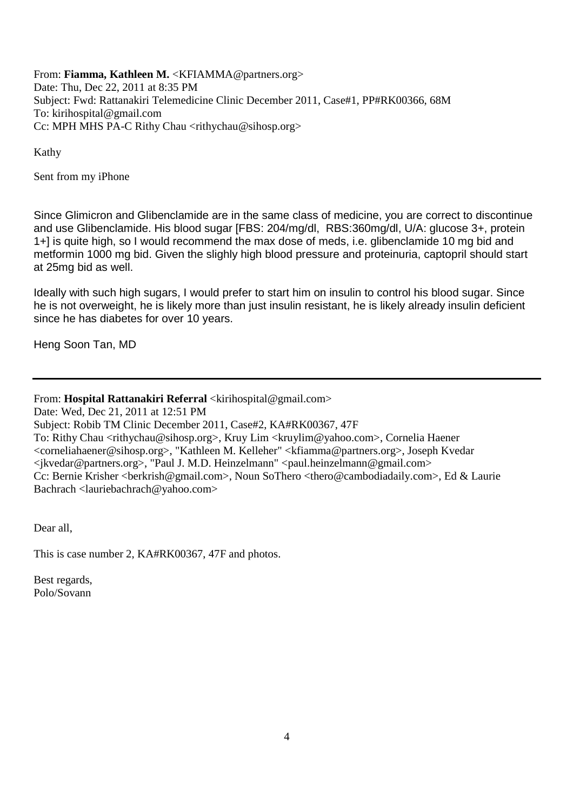From: **Fiamma, Kathleen M.** <KFIAMMA@partners.org> Date: Thu, Dec 22, 2011 at 8:35 PM Subject: Fwd: Rattanakiri Telemedicine Clinic December 2011, Case#1, PP#RK00366, 68M To: kirihospital@gmail.com Cc: MPH MHS PA-C Rithy Chau <rithychau@sihosp.org>

Kathy

Sent from my iPhone

Since Glimicron and Glibenclamide are in the same class of medicine, you are correct to discontinue and use Glibenclamide. His blood sugar [FBS: 204/mg/dl, RBS:360mg/dl, U/A: glucose 3+, protein 1+] is quite high, so I would recommend the max dose of meds, i.e. glibenclamide 10 mg bid and metformin 1000 mg bid. Given the slighly high blood pressure and proteinuria, captopril should start at 25mg bid as well.

Ideally with such high sugars, I would prefer to start him on insulin to control his blood sugar. Since he is not overweight, he is likely more than just insulin resistant, he is likely already insulin deficient since he has diabetes for over 10 years.

Heng Soon Tan, MD

# From: **Hospital Rattanakiri Referral** <kirihospital@gmail.com>

Date: Wed, Dec 21, 2011 at 12:51 PM

Subject: Robib TM Clinic December 2011, Case#2, KA#RK00367, 47F

To: Rithy Chau <rithychau@sihosp.org>, Kruy Lim <kruylim@yahoo.com>, Cornelia Haener <corneliahaener@sihosp.org>, "Kathleen M. Kelleher" <kfiamma@partners.org>, Joseph Kvedar <jkvedar@partners.org>, "Paul J. M.D. Heinzelmann" <paul.heinzelmann@gmail.com> Cc: Bernie Krisher <br/>berkrish@gmail.com>, Noun SoThero <thero@cambodiadaily.com>, Ed & Laurie Bachrach <lauriebachrach@yahoo.com>

Dear all,

This is case number 2, KA#RK00367, 47F and photos.

Best regards, Polo/Sovann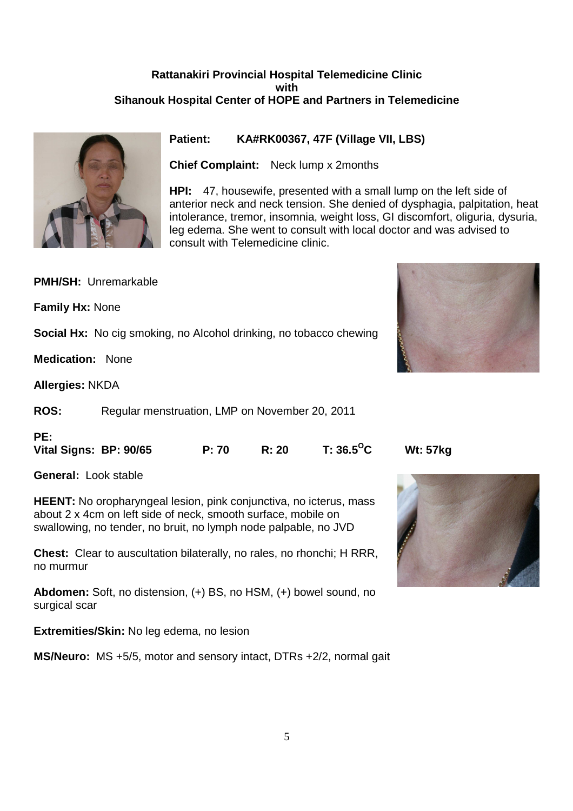# **Rattanakiri Provincial Hospital Telemedicine Clinic with Sihanouk Hospital Center of HOPE and Partners in Telemedicine**



**Patient: KA#RK00367, 47F (Village VII, LBS)** 

**Chief Complaint:** Neck lump x 2months

**HPI:** 47, housewife, presented with a small lump on the left side of anterior neck and neck tension. She denied of dysphagia, palpitation, heat intolerance, tremor, insomnia, weight loss, GI discomfort, oliguria, dysuria, leg edema. She went to consult with local doctor and was advised to consult with Telemedicine clinic.

**PMH/SH:** Unremarkable

**Family Hx:** None

**Social Hx:** No cig smoking, no Alcohol drinking, no tobacco chewing

**Medication:** None

**Allergies:** NKDA

**ROS:** Regular menstruation, LMP on November 20, 2011

# **PE:**

**Vital Signs: BP: 90/65 P: 70 R: 20 T: 36.5<sup>O</sup>C Wt: 57kg** 

**General:** Look stable

**HEENT:** No oropharyngeal lesion, pink conjunctiva, no icterus, mass about 2 x 4cm on left side of neck, smooth surface, mobile on swallowing, no tender, no bruit, no lymph node palpable, no JVD

**Chest:** Clear to auscultation bilaterally, no rales, no rhonchi; H RRR, no murmur

**Abdomen:** Soft, no distension, (+) BS, no HSM, (+) bowel sound, no surgical scar

**Extremities/Skin:** No leg edema, no lesion

**MS/Neuro:** MS +5/5, motor and sensory intact, DTRs +2/2, normal gait





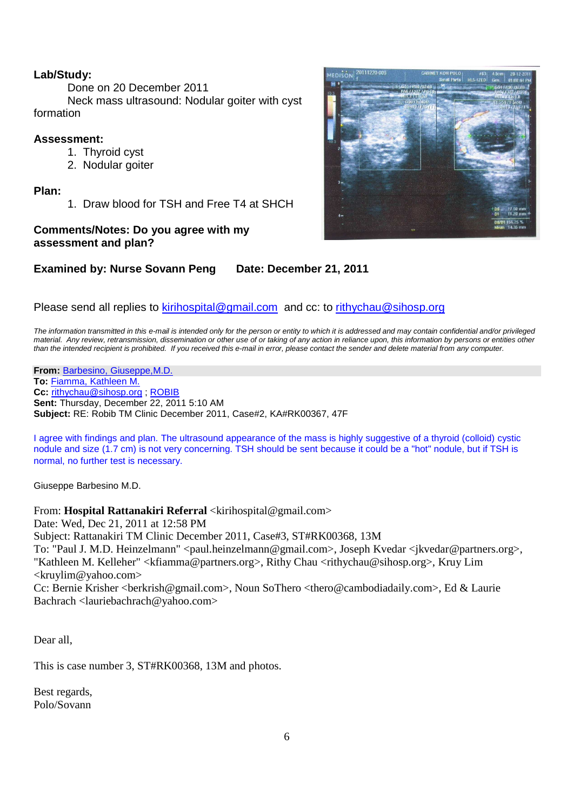# **Lab/Study:**

Done on 20 December 2011

 Neck mass ultrasound: Nodular goiter with cyst formation

# **Assessment:**

- 1. Thyroid cyst
- 2. Nodular goiter

**Plan:**

1. Draw blood for TSH and Free T4 at SHCH

# **Comments/Notes: Do you agree with my assessment and plan?**

# **Examined by: Nurse Sovann Peng Date: December 21, 2011**

# Please send all replies to kirihospital@gmail.com and cc: to rithychau@sihosp.org

The information transmitted in this e-mail is intended only for the person or entity to which it is addressed and may contain confidential and/or privileged material. Any review, retransmission, dissemination or other use of or taking of any action in reliance upon, this information by persons or entities other than the intended recipient is prohibited. If you received this e-mail in error, please contact the sender and delete material from any computer.

**From:** Barbesino, Giuseppe,M.D. **To:** Fiamma, Kathleen M. **Cc:** rithychau@sihosp.org ; ROBIB **Sent:** Thursday, December 22, 2011 5:10 AM **Subject:** RE: Robib TM Clinic December 2011, Case#2, KA#RK00367, 47F

I agree with findings and plan. The ultrasound appearance of the mass is highly suggestive of a thyroid (colloid) cystic nodule and size (1.7 cm) is not very concerning. TSH should be sent because it could be a "hot" nodule, but if TSH is normal, no further test is necessary.

Giuseppe Barbesino M.D.

# From: **Hospital Rattanakiri Referral** <kirihospital@gmail.com>

Date: Wed, Dec 21, 2011 at 12:58 PM

Subject: Rattanakiri TM Clinic December 2011, Case#3, ST#RK00368, 13M

To: "Paul J. M.D. Heinzelmann" <paul.heinzelmann@gmail.com>, Joseph Kvedar <jkvedar@partners.org>, "Kathleen M. Kelleher" <kfiamma@partners.org>, Rithy Chau <rithychau@sihosp.org>, Kruy Lim <kruylim@yahoo.com>

Cc: Bernie Krisher <br/>berkrish@gmail.com>, Noun SoThero <thero@cambodiadaily.com>, Ed & Laurie Bachrach <lauriebachrach@yahoo.com>

Dear all,

This is case number 3, ST#RK00368, 13M and photos.

Best regards, Polo/Sovann

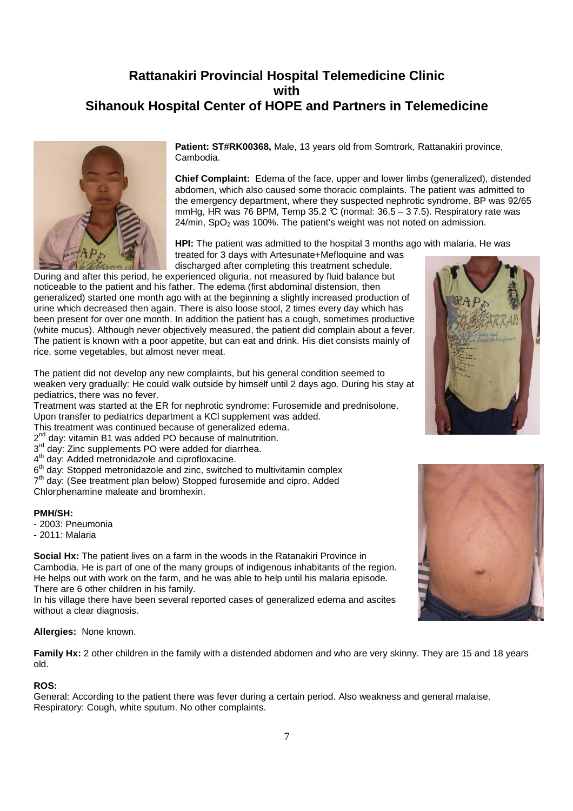# **Rattanakiri Provincial Hospital Telemedicine Clinic with Sihanouk Hospital Center of HOPE and Partners in Telemedicine**



**Patient: ST#RK00368,** Male, 13 years old from Somtrork, Rattanakiri province, Cambodia.

**Chief Complaint:** Edema of the face, upper and lower limbs (generalized), distended abdomen, which also caused some thoracic complaints. The patient was admitted to the emergency department, where they suspected nephrotic syndrome. BP was 92/65 mmHg, HR was 76 BPM, Temp 35.2  $\mathbb C$  (normal: 36.5 – 37.5). Respiratory rate was  $24/\text{min}$ , SpO<sub>2</sub> was 100%. The patient's weight was not noted on admission.

**HPI:** The patient was admitted to the hospital 3 months ago with malaria. He was treated for 3 days with Artesunate+Mefloquine and was

discharged after completing this treatment schedule. During and after this period, he experienced oliguria, not measured by fluid balance but noticeable to the patient and his father. The edema (first abdominal distension, then generalized) started one month ago with at the beginning a slightly increased production of urine which decreased then again. There is also loose stool, 2 times every day which has been present for over one month. In addition the patient has a cough, sometimes productive (white mucus). Although never objectively measured, the patient did complain about a fever. The patient is known with a poor appetite, but can eat and drink. His diet consists mainly of rice, some vegetables, but almost never meat.

The patient did not develop any new complaints, but his general condition seemed to weaken very gradually: He could walk outside by himself until 2 days ago. During his stay at pediatrics, there was no fever.

Treatment was started at the ER for nephrotic syndrome: Furosemide and prednisolone. Upon transfer to pediatrics department a KCl supplement was added.

This treatment was continued because of generalized edema.

2<sup>nd</sup> day: vitamin B1 was added PO because of malnutrition.

3<sup>rd</sup> day: Zinc supplements PO were added for diarrhea.

4<sup>th</sup> day: Added metronidazole and ciprofloxacine.

6<sup>th</sup> day: Stopped metronidazole and zinc, switched to multivitamin complex

7<sup>th</sup> day: (See treatment plan below) Stopped furosemide and cipro. Added Chlorphenamine maleate and bromhexin.

#### **PMH/SH:**

- 2003: Pneumonia

- 2011: Malaria

**Social Hx:** The patient lives on a farm in the woods in the Ratanakiri Province in Cambodia. He is part of one of the many groups of indigenous inhabitants of the region. He helps out with work on the farm, and he was able to help until his malaria episode. There are 6 other children in his family.

In his village there have been several reported cases of generalized edema and ascites without a clear diagnosis.

#### **Allergies:** None known.

**Family Hx:** 2 other children in the family with a distended abdomen and who are very skinny. They are 15 and 18 years old.

#### **ROS:**

General: According to the patient there was fever during a certain period. Also weakness and general malaise. Respiratory: Cough, white sputum. No other complaints.



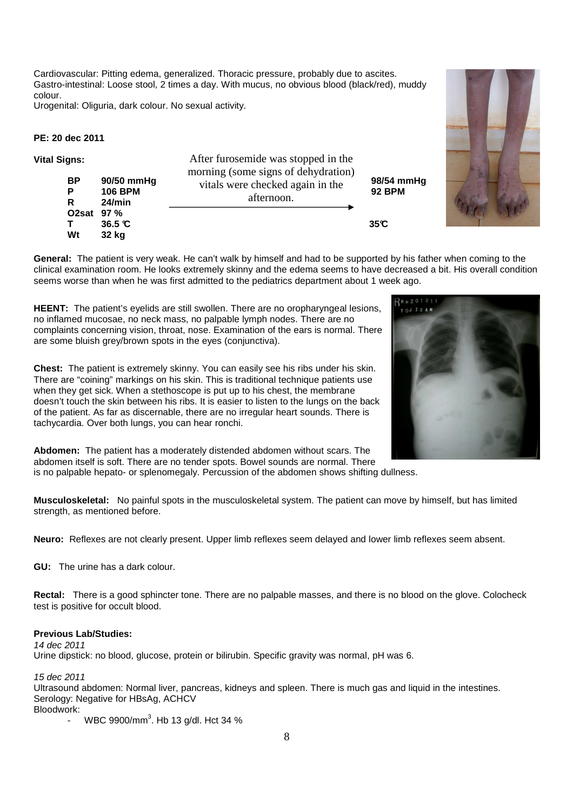Cardiovascular: Pitting edema, generalized. Thoracic pressure, probably due to ascites. Gastro-intestinal: Loose stool, 2 times a day. With mucus, no obvious blood (black/red), muddy colour.

Urogenital: Oliguria, dark colour. No sexual activity.

#### **PE: 20 dec 2011**

| <b>Vital Signs:</b><br><b>BP</b><br>Р<br>R<br>O2sat 97 %<br>Wt | 90/50 mmHg<br><b>106 BPM</b><br>24/min | After furosemide was stopped in the<br>morning (some signs of dehydration)<br>vitals were checked again in the<br>afternoon. | 98/54 mmHg<br><b>92 BPM</b> |
|----------------------------------------------------------------|----------------------------------------|------------------------------------------------------------------------------------------------------------------------------|-----------------------------|
|                                                                | $36.5$ $\degree$<br>32 kg              |                                                                                                                              | 35C                         |

**General:** The patient is very weak. He can't walk by himself and had to be supported by his father when coming to the clinical examination room. He looks extremely skinny and the edema seems to have decreased a bit. His overall condition seems worse than when he was first admitted to the pediatrics department about 1 week ago.

**HEENT:** The patient's eyelids are still swollen. There are no oropharyngeal lesions, no inflamed mucosae, no neck mass, no palpable lymph nodes. There are no complaints concerning vision, throat, nose. Examination of the ears is normal. There are some bluish grey/brown spots in the eyes (conjunctiva).

**Chest:** The patient is extremely skinny. You can easily see his ribs under his skin. There are "coining" markings on his skin. This is traditional technique patients use when they get sick. When a stethoscope is put up to his chest, the membrane doesn't touch the skin between his ribs. It is easier to listen to the lungs on the back of the patient. As far as discernable, there are no irregular heart sounds. There is tachycardia. Over both lungs, you can hear ronchi.

**Abdomen:** The patient has a moderately distended abdomen without scars. The abdomen itself is soft. There are no tender spots. Bowel sounds are normal. There is no palpable hepato- or splenomegaly. Percussion of the abdomen shows shifting dullness.

**Musculoskeletal:** No painful spots in the musculoskeletal system. The patient can move by himself, but has limited strength, as mentioned before.

**Neuro:** Reflexes are not clearly present. Upper limb reflexes seem delayed and lower limb reflexes seem absent.

**GU:** The urine has a dark colour.

**Rectal:** There is a good sphincter tone. There are no palpable masses, and there is no blood on the glove. Colocheck test is positive for occult blood.

#### **Previous Lab/Studies:**

14 dec 2011 Urine dipstick: no blood, glucose, protein or bilirubin. Specific gravity was normal, pH was 6.

15 dec 2011

Ultrasound abdomen: Normal liver, pancreas, kidneys and spleen. There is much gas and liquid in the intestines. Serology: Negative for HBsAg, ACHCV Bloodwork:

- WBC 9900/mm<sup>3</sup>. Hb 13 g/dl. Hct 34 %



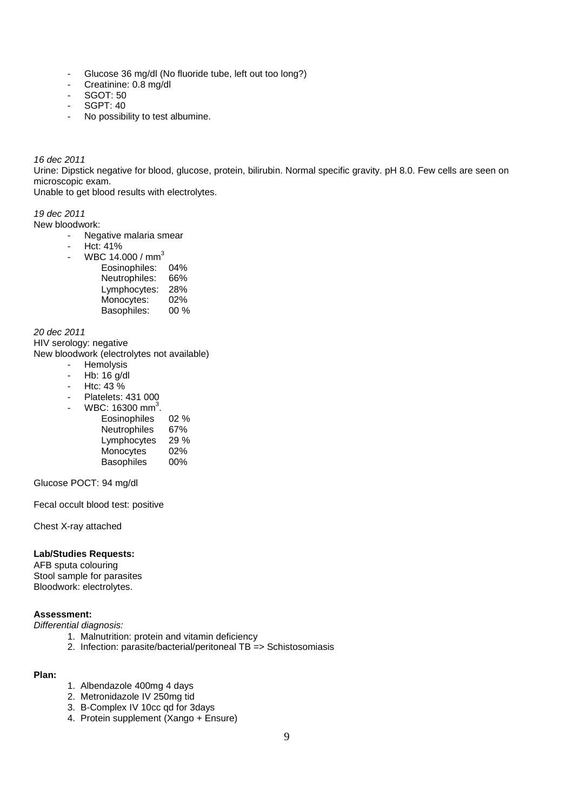- Glucose 36 mg/dl (No fluoride tube, left out too long?)
- Creatinine: 0.8 mg/dl
- SGOT: 50
- SGPT: 40
- No possibility to test albumine.

#### 16 dec 2011

Urine: Dipstick negative for blood, glucose, protein, bilirubin. Normal specific gravity. pH 8.0. Few cells are seen on microscopic exam.

Unable to get blood results with electrolytes.

### 19 dec 2011

New bloodwork:

- Negative malaria smear
- Hct: 41%
- WBC 14.000 /  $mm<sup>3</sup>$

| Eosinophiles: | 04%    |
|---------------|--------|
| Neutrophiles: | 66%    |
| Lymphocytes:  | 28%    |
| Monocytes:    | 02%    |
| Basophiles:   | $00\%$ |

20 dec 2011

HIV serology: negative

New bloodwork (electrolytes not available)

- **Hemolysis**
- $-$  Hb: 16  $a/dl$
- $-Htc: 43\%$
- Platelets: 431 000
- WBC:  $16300 \text{ mm}^3$ .

| Eosinophiles      | $02\%$ |
|-------------------|--------|
| Neutrophiles      | 67%    |
| Lymphocytes       | 29%    |
| Monocytes         | 02%    |
| <b>Basophiles</b> | 00%    |

Glucose POCT: 94 mg/dl

Fecal occult blood test: positive

Chest X-ray attached

# **Lab/Studies Requests:**

AFB sputa colouring Stool sample for parasites Bloodwork: electrolytes.

# **Assessment:**

Differential diagnosis:

- 1. Malnutrition: protein and vitamin deficiency
- 2. Infection: parasite/bacterial/peritoneal TB => Schistosomiasis

#### **Plan:**

- 1. Albendazole 400mg 4 days
- 2. Metronidazole IV 250mg tid
- 3. B-Complex IV 10cc qd for 3days
- 4. Protein supplement (Xango + Ensure)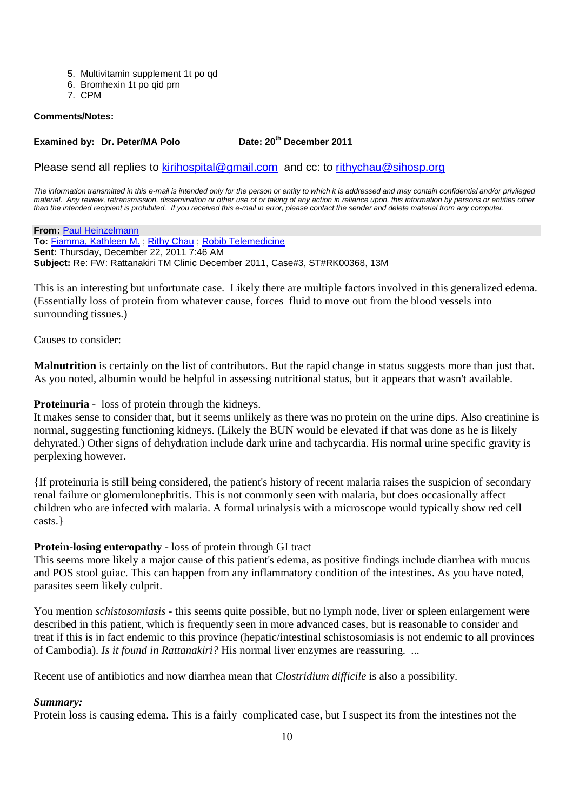- 5. Multivitamin supplement 1t po qd
- 6. Bromhexin 1t po qid prn
- 7. CPM

#### **Comments/Notes:**

# **Examined by: Dr. Peter/MA Polo Date: 20th December 2011**

Please send all replies to kirihospital@gmail.com and cc: to rithychau@sihosp.org

The information transmitted in this e-mail is intended only for the person or entity to which it is addressed and may contain confidential and/or privileged material. Any review, retransmission, dissemination or other use of or taking of any action in reliance upon, this information by persons or entities other than the intended recipient is prohibited. If you received this e-mail in error, please contact the sender and delete material from any computer.

**From:** Paul Heinzelmann **To:** Fiamma, Kathleen M. ; Rithy Chau ; Robib Telemedicine **Sent:** Thursday, December 22, 2011 7:46 AM **Subject:** Re: FW: Rattanakiri TM Clinic December 2011, Case#3, ST#RK00368, 13M

This is an interesting but unfortunate case. Likely there are multiple factors involved in this generalized edema. (Essentially loss of protein from whatever cause, forces fluid to move out from the blood vessels into surrounding tissues.)

Causes to consider:

**Malnutrition** is certainly on the list of contributors. But the rapid change in status suggests more than just that. As you noted, albumin would be helpful in assessing nutritional status, but it appears that wasn't available.

**Proteinuria** - loss of protein through the kidneys.

It makes sense to consider that, but it seems unlikely as there was no protein on the urine dips. Also creatinine is normal, suggesting functioning kidneys. (Likely the BUN would be elevated if that was done as he is likely dehyrated.) Other signs of dehydration include dark urine and tachycardia. His normal urine specific gravity is perplexing however.

{If proteinuria is still being considered, the patient's history of recent malaria raises the suspicion of secondary renal failure or glomerulonephritis. This is not commonly seen with malaria, but does occasionally affect children who are infected with malaria. A formal urinalysis with a microscope would typically show red cell casts.}

# **Protein-losing enteropathy** - loss of protein through GI tract

This seems more likely a major cause of this patient's edema, as positive findings include diarrhea with mucus and POS stool guiac. This can happen from any inflammatory condition of the intestines. As you have noted, parasites seem likely culprit.

You mention *schistosomiasis* - this seems quite possible, but no lymph node, liver or spleen enlargement were described in this patient, which is frequently seen in more advanced cases, but is reasonable to consider and treat if this is in fact endemic to this province (hepatic/intestinal schistosomiasis is not endemic to all provinces of Cambodia). *Is it found in Rattanakiri?* His normal liver enzymes are reassuring. ...

Recent use of antibiotics and now diarrhea mean that *Clostridium difficile* is also a possibility.

#### *Summary:*

Protein loss is causing edema. This is a fairly complicated case, but I suspect its from the intestines not the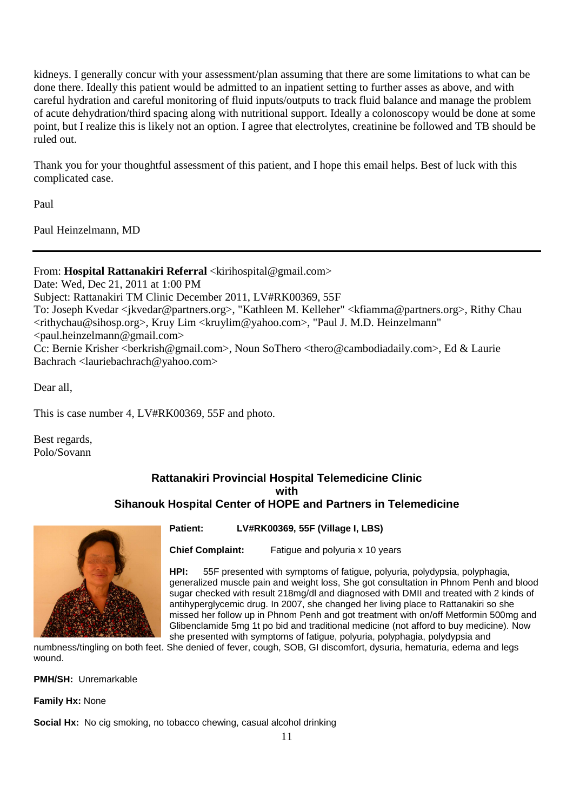kidneys. I generally concur with your assessment/plan assuming that there are some limitations to what can be done there. Ideally this patient would be admitted to an inpatient setting to further asses as above, and with careful hydration and careful monitoring of fluid inputs/outputs to track fluid balance and manage the problem of acute dehydration/third spacing along with nutritional support. Ideally a colonoscopy would be done at some point, but I realize this is likely not an option. I agree that electrolytes, creatinine be followed and TB should be ruled out.

Thank you for your thoughtful assessment of this patient, and I hope this email helps. Best of luck with this complicated case.

Paul

Paul Heinzelmann, MD

# From: **Hospital Rattanakiri Referral** <kirihospital@gmail.com>

Date: Wed, Dec 21, 2011 at 1:00 PM Subject: Rattanakiri TM Clinic December 2011, LV#RK00369, 55F To: Joseph Kvedar <jkvedar@partners.org>, "Kathleen M. Kelleher" <kfiamma@partners.org>, Rithy Chau <rithychau@sihosp.org>, Kruy Lim <kruylim@yahoo.com>, "Paul J. M.D. Heinzelmann" <paul.heinzelmann@gmail.com> Cc: Bernie Krisher <br/>berkrish@gmail.com>, Noun SoThero <thero@cambodiadaily.com>, Ed & Laurie Bachrach <lauriebachrach@yahoo.com>

Dear all,

This is case number 4, LV#RK00369, 55F and photo.

Best regards, Polo/Sovann

# **Rattanakiri Provincial Hospital Telemedicine Clinic with Sihanouk Hospital Center of HOPE and Partners in Telemedicine**



**Patient: LV#RK00369, 55F (Village I, LBS)** 

**Chief Complaint:** Fatigue and polyuria x 10 years

**HPI:** 55F presented with symptoms of fatigue, polyuria, polydypsia, polyphagia, generalized muscle pain and weight loss, She got consultation in Phnom Penh and blood sugar checked with result 218mg/dl and diagnosed with DMII and treated with 2 kinds of antihyperglycemic drug. In 2007, she changed her living place to Rattanakiri so she missed her follow up in Phnom Penh and got treatment with on/off Metformin 500mg and Glibenclamide 5mg 1t po bid and traditional medicine (not afford to buy medicine). Now she presented with symptoms of fatigue, polyuria, polyphagia, polydypsia and

numbness/tingling on both feet. She denied of fever, cough, SOB, GI discomfort, dysuria, hematuria, edema and legs wound.

**PMH/SH:** Unremarkable

**Family Hx:** None

**Social Hx:** No cig smoking, no tobacco chewing, casual alcohol drinking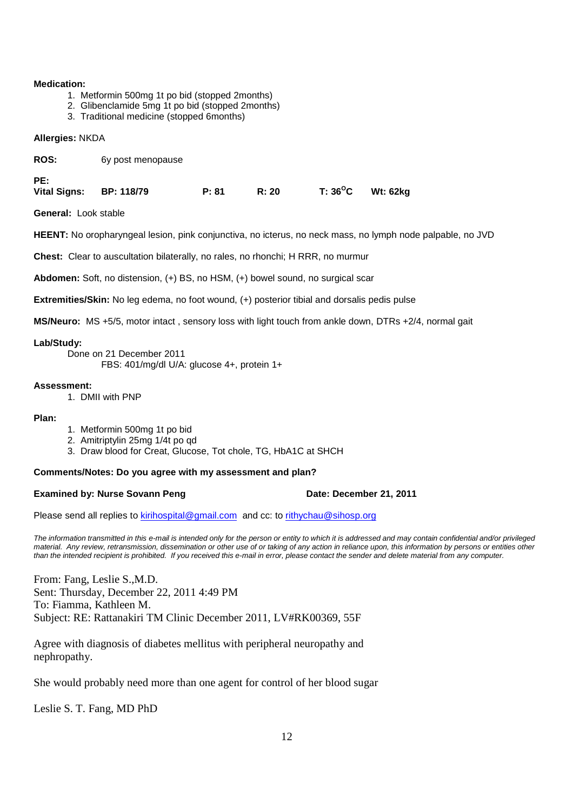#### **Medication:**

- 1. Metformin 500mg 1t po bid (stopped 2months)
- 2. Glibenclamide 5mg 1t po bid (stopped 2months)
- 3. Traditional medicine (stopped 6months)

#### **Allergies:** NKDA

ROS: 6y post menopause

**PE:** 

**Vital Signs: BP: 118/79 P: 81 R: 20 T: 36<sup>O</sup>C Wt: 62kg** 

**General:** Look stable

**HEENT:** No oropharyngeal lesion, pink conjunctiva, no icterus, no neck mass, no lymph node palpable, no JVD

**Chest:** Clear to auscultation bilaterally, no rales, no rhonchi; H RRR, no murmur

**Abdomen:** Soft, no distension, (+) BS, no HSM, (+) bowel sound, no surgical scar

**Extremities/Skin:** No leg edema, no foot wound, (+) posterior tibial and dorsalis pedis pulse

**MS/Neuro:** MS +5/5, motor intact , sensory loss with light touch from ankle down, DTRs +2/4, normal gait

**Lab/Study:** 

 Done on 21 December 2011 FBS: 401/mg/dl U/A: glucose 4+, protein 1+

#### **Assessment:**

1. DMII with PNP

#### **Plan:**

- 1. Metformin 500mg 1t po bid
- 2. Amitriptylin 25mg 1/4t po qd
- 3. Draw blood for Creat, Glucose, Tot chole, TG, HbA1C at SHCH

#### **Comments/Notes: Do you agree with my assessment and plan?**

#### **Examined by: Nurse Sovann Peng <b>Date: December 21, 2011**

Please send all replies to kirihospital@gmail.com and cc: to rithychau@sihosp.org

The information transmitted in this e-mail is intended only for the person or entity to which it is addressed and may contain confidential and/or privileged material. Any review, retransmission, dissemination or other use of or taking of any action in reliance upon, this information by persons or entities other than the intended recipient is prohibited. If you received this e-mail in error, please contact the sender and delete material from any computer.

From: Fang, Leslie S.,M.D. Sent: Thursday, December 22, 2011 4:49 PM To: Fiamma, Kathleen M. Subject: RE: Rattanakiri TM Clinic December 2011, LV#RK00369, 55F

Agree with diagnosis of diabetes mellitus with peripheral neuropathy and nephropathy.

She would probably need more than one agent for control of her blood sugar

Leslie S. T. Fang, MD PhD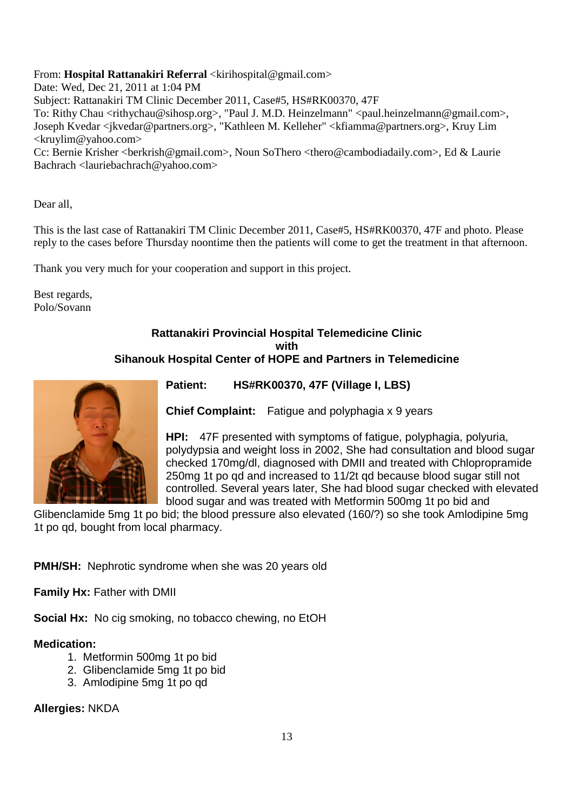# From: **Hospital Rattanakiri Referral** <kirihospital@gmail.com>

Date: Wed, Dec 21, 2011 at 1:04 PM Subject: Rattanakiri TM Clinic December 2011, Case#5, HS#RK00370, 47F To: Rithy Chau <rithychau@sihosp.org>, "Paul J. M.D. Heinzelmann" <paul.heinzelmann@gmail.com>, Joseph Kvedar <jkvedar@partners.org>, "Kathleen M. Kelleher" <kfiamma@partners.org>, Kruy Lim <kruylim@yahoo.com>

Cc: Bernie Krisher <br/>berkrish@gmail.com>, Noun SoThero <thero@cambodiadaily.com>, Ed & Laurie Bachrach <lauriebachrach@yahoo.com>

Dear all,

This is the last case of Rattanakiri TM Clinic December 2011, Case#5, HS#RK00370, 47F and photo. Please reply to the cases before Thursday noontime then the patients will come to get the treatment in that afternoon.

Thank you very much for your cooperation and support in this project.

Best regards, Polo/Sovann

# **Rattanakiri Provincial Hospital Telemedicine Clinic with Sihanouk Hospital Center of HOPE and Partners in Telemedicine**



**Patient: HS#RK00370, 47F (Village I, LBS)** 

**Chief Complaint:** Fatigue and polyphagia x 9 years

**HPI:** 47F presented with symptoms of fatigue, polyphagia, polyuria, polydypsia and weight loss in 2002, She had consultation and blood sugar checked 170mg/dl, diagnosed with DMII and treated with Chlopropramide 250mg 1t po qd and increased to 11/2t qd because blood sugar still not controlled. Several years later, She had blood sugar checked with elevated blood sugar and was treated with Metformin 500mg 1t po bid and

Glibenclamide 5mg 1t po bid; the blood pressure also elevated (160/?) so she took Amlodipine 5mg 1t po qd, bought from local pharmacy.

**PMH/SH:** Nephrotic syndrome when she was 20 years old

**Family Hx:** Father with DMII

**Social Hx:** No cig smoking, no tobacco chewing, no EtOH

# **Medication:**

- 1. Metformin 500mg 1t po bid
- 2. Glibenclamide 5mg 1t po bid
- 3. Amlodipine 5mg 1t po qd

**Allergies:** NKDA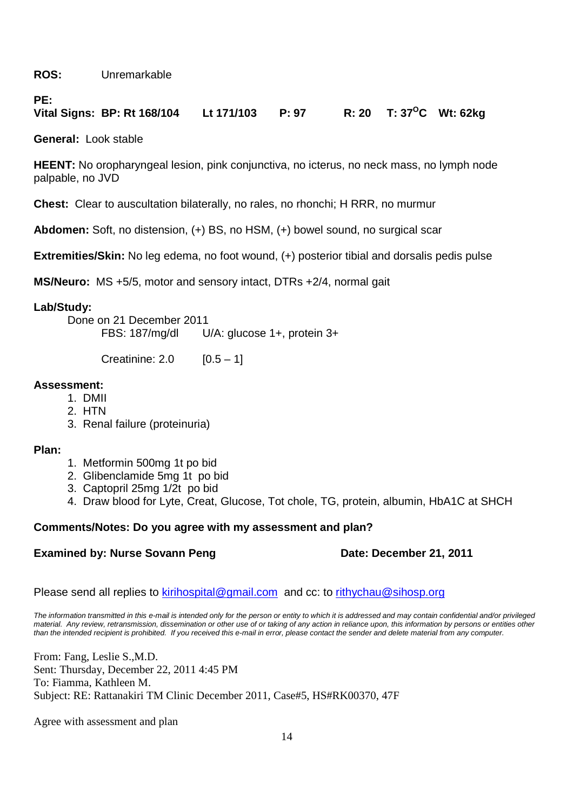**ROS:** Unremarkable

# PE:<br>Vital Signs: BP: Rt 168/104 **Vital Signs: BP: Rt 168/104 Lt 171/103 P: 97 R: 20 T: 37<sup>O</sup>C Wt: 62kg**

**General:** Look stable

**HEENT:** No oropharyngeal lesion, pink conjunctiva, no icterus, no neck mass, no lymph node palpable, no JVD

**Chest:** Clear to auscultation bilaterally, no rales, no rhonchi; H RRR, no murmur

**Abdomen:** Soft, no distension, (+) BS, no HSM, (+) bowel sound, no surgical scar

**Extremities/Skin:** No leg edema, no foot wound, (+) posterior tibial and dorsalis pedis pulse

**MS/Neuro:** MS +5/5, motor and sensory intact, DTRs +2/4, normal gait

# **Lab/Study:**

Done on 21 December 2011<br>FBS: 187/mg/dl L  $U/A$ : glucose 1+, protein 3+

Creatinine:  $2.0$  [0.5 – 1]

# **Assessment:**

- 1. DMII
- 2. HTN
- 3. Renal failure (proteinuria)

# **Plan:**

- 1. Metformin 500mg 1t po bid
- 2. Glibenclamide 5mg 1t po bid
- 3. Captopril 25mg 1/2t po bid
- 4. Draw blood for Lyte, Creat, Glucose, Tot chole, TG, protein, albumin, HbA1C at SHCH

# **Comments/Notes: Do you agree with my assessment and plan?**

# **Examined by: Nurse Sovann Peng Date: December 21, 2011**

Please send all replies to kirihospital@gmail.com and cc: to rithychau@sihosp.org

The information transmitted in this e-mail is intended only for the person or entity to which it is addressed and may contain confidential and/or privileged material. Any review, retransmission, dissemination or other use of or taking of any action in reliance upon, this information by persons or entities other than the intended recipient is prohibited. If you received this e-mail in error, please contact the sender and delete material from any computer.

From: Fang, Leslie S.,M.D. Sent: Thursday, December 22, 2011 4:45 PM To: Fiamma, Kathleen M. Subject: RE: Rattanakiri TM Clinic December 2011, Case#5, HS#RK00370, 47F

Agree with assessment and plan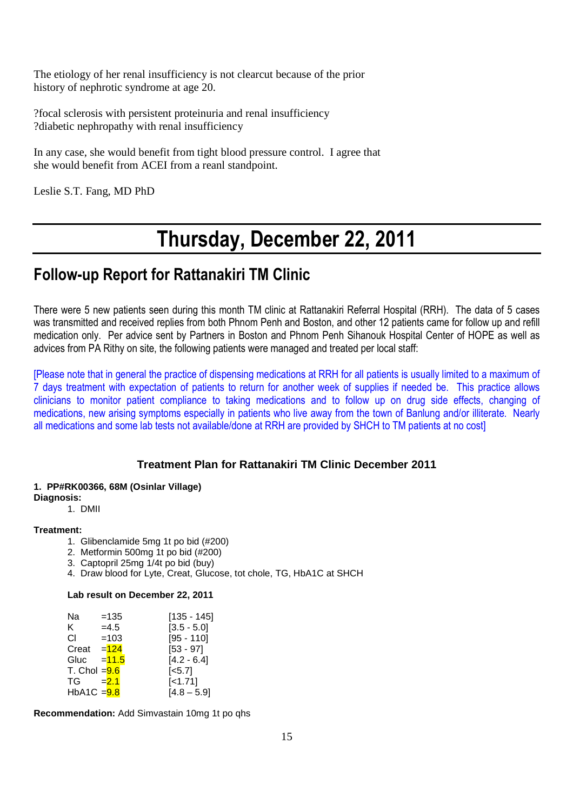The etiology of her renal insufficiency is not clearcut because of the prior history of nephrotic syndrome at age 20.

?focal sclerosis with persistent proteinuria and renal insufficiency ?diabetic nephropathy with renal insufficiency

In any case, she would benefit from tight blood pressure control. I agree that she would benefit from ACEI from a reanl standpoint.

Leslie S.T. Fang, MD PhD

# **Thursday, December 22, 2011**

# **Follow-up Report for Rattanakiri TM Clinic**

There were 5 new patients seen during this month TM clinic at Rattanakiri Referral Hospital (RRH). The data of 5 cases was transmitted and received replies from both Phnom Penh and Boston, and other 12 patients came for follow up and refill medication only. Per advice sent by Partners in Boston and Phnom Penh Sihanouk Hospital Center of HOPE as well as advices from PA Rithy on site, the following patients were managed and treated per local staff:

[Please note that in general the practice of dispensing medications at RRH for all patients is usually limited to a maximum of 7 days treatment with expectation of patients to return for another week of supplies if needed be. This practice allows clinicians to monitor patient compliance to taking medications and to follow up on drug side effects, changing of medications, new arising symptoms especially in patients who live away from the town of Banlung and/or illiterate. Nearly all medications and some lab tests not available/done at RRH are provided by SHCH to TM patients at no cost]

# **Treatment Plan for Rattanakiri TM Clinic December 2011**

# **1. PP#RK00366, 68M (Osinlar Village)**

# **Diagnosis:**

1. DMII

# **Treatment:**

- 1. Glibenclamide 5mg 1t po bid (#200)
- 2. Metformin 500mg 1t po bid (#200)
- 3. Captopril 25mg 1/4t po bid (buy)
- 4. Draw blood for Lyte, Creat, Glucose, tot chole, TG, HbA1C at SHCH

#### **Lab result on December 22, 2011**

| Na              | $=135$  | [135 - 145]            |
|-----------------|---------|------------------------|
| ĸ.              | $=4.5$  | $[3.5 - 5.0]$          |
| СI              | $=103$  | $[95 - 110]$           |
| Creat           | $=124$  | $[53 - 97]$            |
| Gluc            | $=11.5$ | $[4.2 - 6.4]$          |
| T. Chol $= 9.6$ |         | $\left[ < 5.7 \right]$ |
| TG              | $= 2.1$ | $[-1.71]$              |
| HbA1C = 9.8     |         | $[4.8 - 5.9]$          |

**Recommendation:** Add Simvastain 10mg 1t po qhs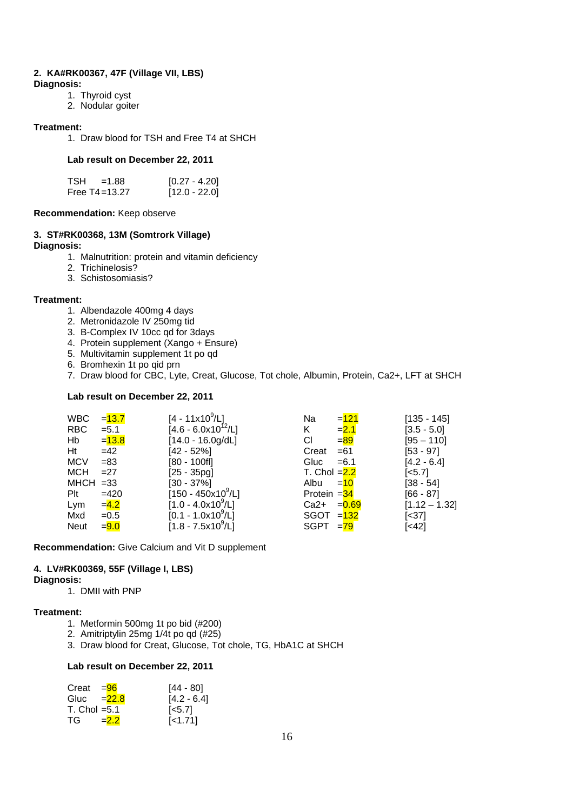# **2. KA#RK00367, 47F (Village VII, LBS)**

- **Diagnosis:**
	- 1. Thyroid cyst
	- 2. Nodular goiter

#### **Treatment:**

1. Draw blood for TSH and Free T4 at SHCH

#### **Lab result on December 22, 2011**

| <b>TSH</b> | $=1.88$           | $[0.27 - 4.20]$ |
|------------|-------------------|-----------------|
|            | Free $T4 = 13.27$ | $[12.0 - 22.0]$ |

#### **Recommendation:** Keep observe

#### **3. ST#RK00368, 13M (Somtrork Village) Diagnosis:**

- 1. Malnutrition: protein and vitamin deficiency
- 2. Trichinelosis?
- 3. Schistosomiasis?

#### **Treatment:**

- 1. Albendazole 400mg 4 days
- 2. Metronidazole IV 250mg tid
- 3. B-Complex IV 10cc qd for 3days
- 4. Protein supplement (Xango + Ensure)
- 5. Multivitamin supplement 1t po qd
- 6. Bromhexin 1t po qid prn
- 7. Draw blood for CBC, Lyte, Creat, Glucose, Tot chole, Albumin, Protein, Ca2+, LFT at SHCH

#### **Lab result on December 22, 2011**

| <b>WBC</b>  | $= 13.7$ | $[4 - 11 \times 10^9 / L]$ | Na             | $=121$  | $[135 - 145]$         |
|-------------|----------|----------------------------|----------------|---------|-----------------------|
| <b>RBC</b>  | $= 5.1$  | $[4.6 - 6.0x10^{12}/L]$    | K.             | $= 2.1$ | $[3.5 - 5.0]$         |
| Hb          | $= 13.8$ | $[14.0 - 16.0g/dL]$        | СI             | $= 89$  | $[95 - 110]$          |
| Ht          | $=42$    | $[42 - 52\%]$              | Creat          | $=61$   | $[53 - 97]$           |
| <b>MCV</b>  | $= 83$   | $[80 - 100f]$              | Gluc           | $= 6.1$ | $[4.2 - 6.4]$         |
| MCH.        | $=27$    | $[25 - 35pg]$              | T. Chol $=2.2$ |         | $\left[ <5.7 \right]$ |
| $MHCH = 33$ |          | $[30 - 37\%]$              | Albu           | $=10$   | $[38 - 54]$           |
| Plt         | $=420$   | $[150 - 450x10^9/L]$       | Protein $=34$  |         | $[66 - 87]$           |
| Lym         | $= 4.2$  | $[1.0 - 4.0x10^9/L]$       | $Ca2+ =0.69$   |         | $[1.12 - 1.32]$       |
| Mxd         | $=0.5$   | $[0.1 - 1.0x10^9/L]$       | $SGOT = 132$   |         | [<37]                 |
| <b>Neut</b> | $= 9.0$  | $[1.8 - 7.5x10^9/L]$       | $SGPT = 79$    |         | [<42]                 |
|             |          |                            |                |         |                       |

**Recommendation:** Give Calcium and Vit D supplement

# **4. LV#RK00369, 55F (Village I, LBS)**

#### **Diagnosis:**

1. DMII with PNP

#### **Treatment:**

- 1. Metformin 500mg 1t po bid (#200)
- 2. Amitriptylin 25mg 1/4t po qd (#25)
- 3. Draw blood for Creat, Glucose, Tot chole, TG, HbA1C at SHCH

#### **Lab result on December 22, 2011**

| Creat $=$ 96          |         | [44 - 80]          |
|-----------------------|---------|--------------------|
| Gluc $=22.8$          |         | $[4.2 - 6.4]$      |
| $T_{\rm L}$ Chol =5.1 |         | $\left[5.7\right]$ |
| TG –                  | $= 2.2$ | $\left[$ < 1.71]   |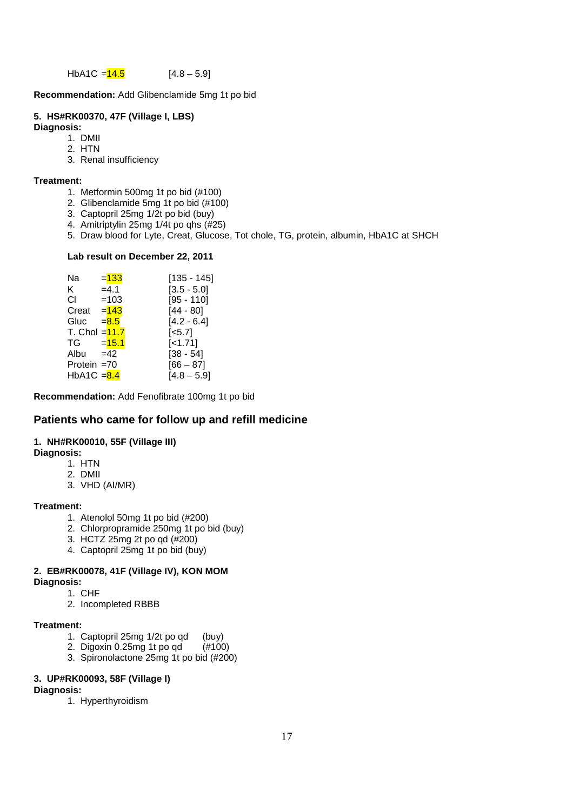HbA1C =  $\frac{14.5}{14.8}$  [4.8 – 5.9]

**Recommendation:** Add Glibenclamide 5mg 1t po bid

# **5. HS#RK00370, 47F (Village I, LBS)**

**Diagnosis:**

- 1. DMII
- 2. HTN
- 3. Renal insufficiency

#### **Treatment:**

- 1. Metformin 500mg 1t po bid (#100)
- 2. Glibenclamide 5mg 1t po bid (#100)
- 3. Captopril 25mg 1/2t po bid (buy)
- 4. Amitriptylin 25mg 1/4t po qhs (#25)
- 5. Draw blood for Lyte, Creat, Glucose, Tot chole, TG, protein, albumin, HbA1C at SHCH

#### **Lab result on December 22, 2011**

| Na              | $= 133$  | $[135 - 145]$         |
|-----------------|----------|-----------------------|
| K.              | $=4.1$   | $[3.5 - 5.0]$         |
| СI              | $=103$   | $[95 - 110]$          |
| Creat $=$ 143   |          | $[44 - 80]$           |
| Gluc            | $= 8.5$  | $[4.2 - 6.4]$         |
| T. Chol $=11.7$ |          | $\left[ <5.7 \right]$ |
| TG              | $= 15.1$ | $[-1.71]$             |
| Albu            | $=42$    | $[38 - 54]$           |
| Protein $=70$   |          | $[66 - 87]$           |
| HbA1C = 8.4     |          | $[4.8 - 5.9]$         |
|                 |          |                       |

**Recommendation:** Add Fenofibrate 100mg 1t po bid

# **Patients who came for follow up and refill medicine**

#### **1. NH#RK00010, 55F (Village III)**

- **Diagnosis:** 
	- 1. HTN
	- 2. DMII
	- 3. VHD (AI/MR)

#### **Treatment:**

- 1. Atenolol 50mg 1t po bid (#200)
- 2. Chlorpropramide 250mg 1t po bid (buy)
- 3. HCTZ  $25mg$  2t po qd  $(\#200)$
- 4. Captopril 25mg 1t po bid (buy)

#### **2. EB#RK00078, 41F (Village IV), KON MOM Diagnosis:**

1. CHF

2. Incompleted RBBB

#### **Treatment:**

- 1. Captopril 25mg 1/2t po qd (buy)
- 2. Digoxin 0.25mg 1t po qd (#100)
- 3. Spironolactone 25mg 1t po bid (#200)

#### **3. UP#RK00093, 58F (Village I)**

# **Diagnosis:**

1. Hyperthyroidism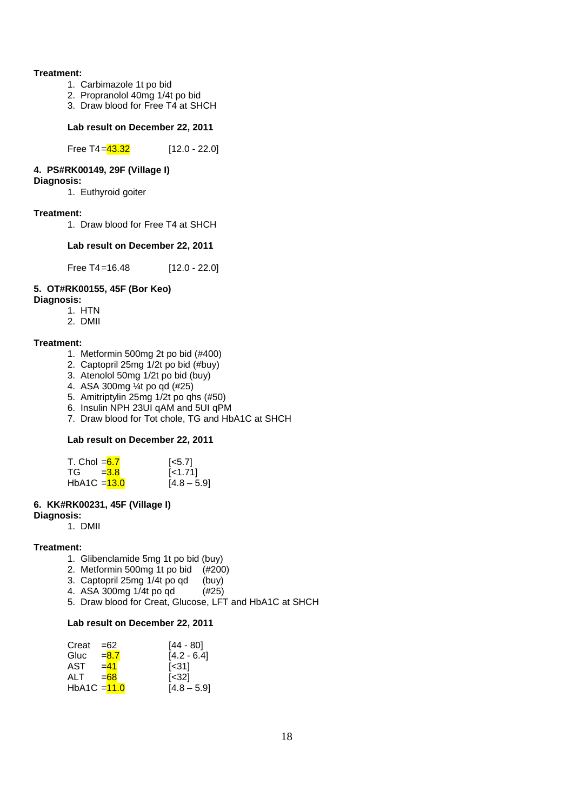#### **Treatment:**

- 1. Carbimazole 1t po bid
- 2. Propranolol 40mg 1/4t po bid
- 3. Draw blood for Free T4 at SHCH

#### **Lab result on December 22, 2011**

Free T4 =  $43.32$  [12.0 - 22.0]

### **4. PS#RK00149, 29F (Village I)**

#### **Diagnosis:**

1. Euthyroid goiter

#### **Treatment:**

1. Draw blood for Free T4 at SHCH

#### **Lab result on December 22, 2011**

Free T4=16.48 [12.0 - 22.0]

# **5. OT#RK00155, 45F (Bor Keo)**

- **Diagnosis:**
	- 1. HTN
	- 2. DMII

#### **Treatment:**

- 1. Metformin 500mg 2t po bid (#400)
- 2. Captopril 25mg 1/2t po bid (#buy)
- 3. Atenolol 50mg 1/2t po bid (buy)
- 4. ASA 300mg ¼t po qd (#25)
- 5. Amitriptylin 25mg 1/2t po qhs (#50)
- 6. Insulin NPH 23UI qAM and 5UI qPM
- 7. Draw blood for Tot chole, TG and HbA1C at SHCH

#### **Lab result on December 22, 2011**

| T. Chol $=6.7$ | $\left[5.7\right]$ |
|----------------|--------------------|
| $TG = 3.8$     | $\left[$ < 1.71    |
| HbA1C $=$ 13.0 | $[4.8 - 5.9]$      |

### **6. KK#RK00231, 45F (Village I)**

#### **Diagnosis:**

1. DMII

#### **Treatment:**

- 1. Glibenclamide 5mg 1t po bid (buy)
- 2. Metformin 500mg 1t po bid (#200)
- 3. Captopril 25mg 1/4t po qd (buy)
- 4. ASA 300mg 1/4t po qd (#25)
- 5. Draw blood for Creat, Glucose, LFT and HbA1C at SHCH

#### **Lab result on December 22, 2011**

| Creat          | $=62$   | [44 - 80]                |
|----------------|---------|--------------------------|
| Gluc           | $= 8.7$ | $[4.2 - 6.4]$            |
| AST            | $= 41$  | $\left[ \leq 31 \right]$ |
| ALT            | $=68$   | [<32]                    |
| HbA1C $=$ 11.0 |         | $[4.8 - 5.9]$            |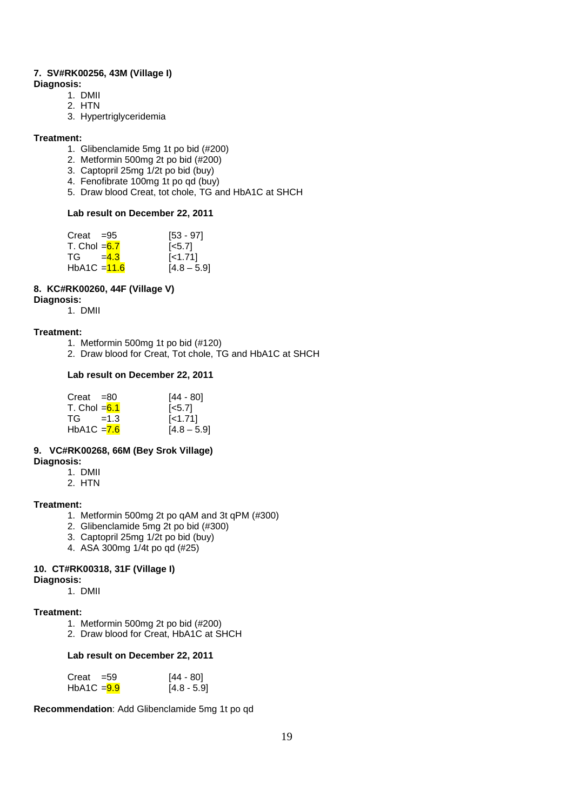# **7. SV#RK00256, 43M (Village I)**

**Diagnosis:** 

- 1. DMII
- 2. HTN
- 3. Hypertriglyceridemia

### **Treatment:**

- 1. Glibenclamide 5mg 1t po bid (#200)
- 2. Metformin 500mg 2t po bid (#200)
- 3. Captopril 25mg 1/2t po bid (buy)
- 4. Fenofibrate 100mg 1t po qd (buy)
- 5. Draw blood Creat, tot chole, TG and HbA1C at SHCH

### **Lab result on December 22, 2011**

| Creat $=95$    | $[53 - 97]$        |
|----------------|--------------------|
| T. Chol $=6.7$ | $\left[5.7\right]$ |
| $TG = 43$      | $[-1.71]$          |
| HbA1C $=$ 11.6 | $[4.8 - 5.9]$      |

# **8. KC#RK00260, 44F (Village V)**

#### **Diagnosis:**

1. DMII

# **Treatment:**

- 1. Metformin 500mg 1t po bid (#120)
- 2. Draw blood for Creat, Tot chole, TG and HbA1C at SHCH

# **Lab result on December 22, 2011**

| $Creat = 80$   | [44 - 80]          |
|----------------|--------------------|
| T. Chol $=6.1$ | $\left[5.7\right]$ |
| $TG = 1.3$     | $[-1.71]$          |
| HbA1C $= 7.6$  | $[4.8 - 5.9]$      |

#### **9. VC#RK00268, 66M (Bey Srok Village) Diagnosis:**

- 1. DMII
	- 2. HTN

# **Treatment:**

- 1. Metformin 500mg 2t po qAM and 3t qPM (#300)
- 2. Glibenclamide 5mg 2t po bid (#300)
- 3. Captopril 25mg 1/2t po bid (buy)
- 4. ASA 300mg 1/4t po qd (#25)

# **10. CT#RK00318, 31F (Village I)**

# **Diagnosis:**

1. DMII

# **Treatment:**

- 1. Metformin 500mg 2t po bid (#200)
- 2. Draw blood for Creat, HbA1C at SHCH

# **Lab result on December 22, 2011**

| $Creat = 59$  | [44 - 80]     |
|---------------|---------------|
| $HbA1C = 9.9$ | $[4.8 - 5.9]$ |

**Recommendation**: Add Glibenclamide 5mg 1t po qd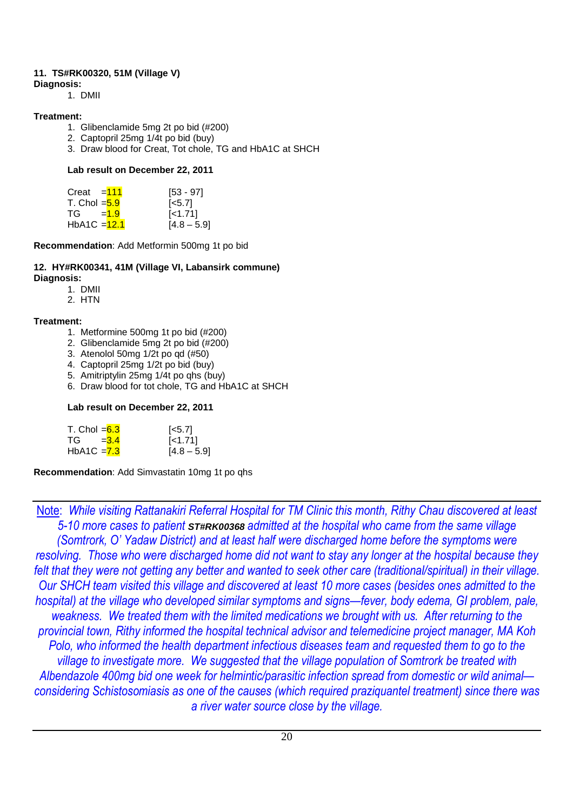# **11. TS#RK00320, 51M (Village V)**

**Diagnosis:**  1. DMII

# **Treatment:**

- 1. Glibenclamide 5mg 2t po bid (#200)
- 2. Captopril 25mg 1/4t po bid (buy)
- 3. Draw blood for Creat, Tot chole, TG and HbA1C at SHCH

# **Lab result on December 22, 2011**

| Creat $=\frac{111}{11}$ | $[53 - 97]$        |
|-------------------------|--------------------|
| T. Chol $=$ $5.9$       | $\left[5.7\right]$ |
| $TG = 1.9$              | $[-1.71]$          |
| $HbA1C = 12.1$          | $[4.8 - 5.9]$      |

**Recommendation**: Add Metformin 500mg 1t po bid

#### **12. HY#RK00341, 41M (Village VI, Labansirk commune) Diagnosis:**

- 1. DMII
- 2. HTN

# **Treatment:**

- 1. Metformine 500mg 1t po bid (#200)
- 2. Glibenclamide 5mg 2t po bid (#200)
- 3. Atenolol 50mg 1/2t po qd (#50)
- 4. Captopril 25mg 1/2t po bid (buy)
- 5. Amitriptylin 25mg 1/4t po qhs (buy)
- 6. Draw blood for tot chole, TG and HbA1C at SHCH

# **Lab result on December 22, 2011**

| T. Chol $=6.3$ | $\left[5.7\right]$ |
|----------------|--------------------|
| $TG = 3.4$     | $\left[$ < 1.71]   |
| HbA1C $= 7.3$  | $[4.8 - 5.9]$      |

**Recommendation**: Add Simvastatin 10mg 1t po qhs

Note: *While visiting Rattanakiri Referral Hospital for TM Clinic this month, Rithy Chau discovered at least 5-10 more cases to patient* **ST#RK00368** *admitted at the hospital who came from the same village (Somtrork, O' Yadaw District) and at least half were discharged home before the symptoms were resolving. Those who were discharged home did not want to stay any longer at the hospital because they felt that they were not getting any better and wanted to seek other care (traditional/spiritual) in their village. Our SHCH team visited this village and discovered at least 10 more cases (besides ones admitted to the hospital) at the village who developed similar symptoms and signs—fever, body edema, GI problem, pale, weakness. We treated them with the limited medications we brought with us. After returning to the provincial town, Rithy informed the hospital technical advisor and telemedicine project manager, MA Koh Polo, who informed the health department infectious diseases team and requested them to go to the village to investigate more. We suggested that the village population of Somtrork be treated with Albendazole 400mg bid one week for helmintic/parasitic infection spread from domestic or wild animal considering Schistosomiasis as one of the causes (which required praziquantel treatment) since there was a river water source close by the village.*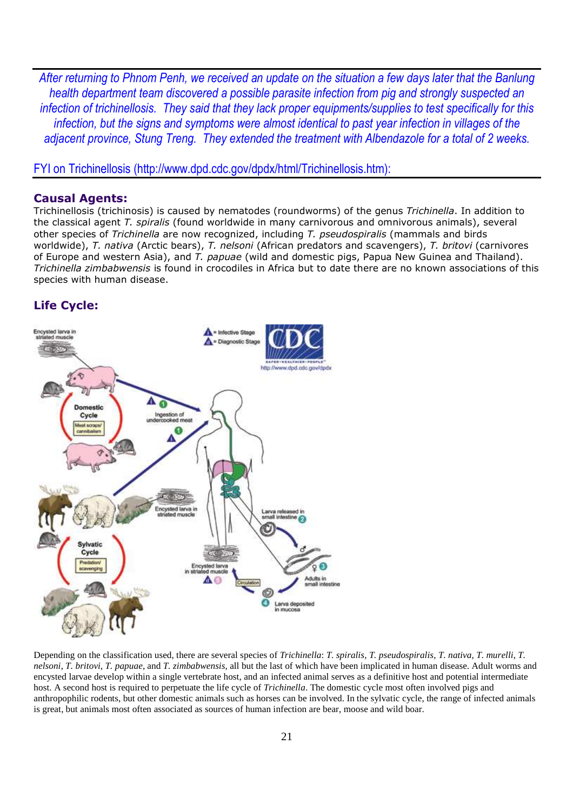*After returning to Phnom Penh, we received an update on the situation a few days later that the Banlung health department team discovered a possible parasite infection from pig and strongly suspected an infection of trichinellosis. They said that they lack proper equipments/supplies to test specifically for this infection, but the signs and symptoms were almost identical to past year infection in villages of the adjacent province, Stung Treng. They extended the treatment with Albendazole for a total of 2 weeks.* 

FYI on Trichinellosis (http://www.dpd.cdc.gov/dpdx/html/Trichinellosis.htm):

### **Causal Agents:**

Trichinellosis (trichinosis) is caused by nematodes (roundworms) of the genus *Trichinella*. In addition to the classical agent *T. spiralis* (found worldwide in many carnivorous and omnivorous animals), several other species of *Trichinella* are now recognized, including *T. pseudospiralis* (mammals and birds worldwide), *T. nativa* (Arctic bears), *T. nelsoni* (African predators and scavengers), *T. britovi* (carnivores of Europe and western Asia), and *T. papuae* (wild and domestic pigs, Papua New Guinea and Thailand). *Trichinella zimbabwensis* is found in crocodiles in Africa but to date there are no known associations of this species with human disease.

# **Life Cycle:**



Depending on the classification used, there are several species of *Trichinella*: *T. spiralis*, *T. pseudospiralis*, *T. nativa*, *T. murelli*, *T. nelsoni*, *T. britovi*, *T. papuae*, and *T. zimbabwensis*, all but the last of which have been implicated in human disease. Adult worms and encysted larvae develop within a single vertebrate host, and an infected animal serves as a definitive host and potential intermediate host. A second host is required to perpetuate the life cycle of *Trichinella*. The domestic cycle most often involved pigs and anthropophilic rodents, but other domestic animals such as horses can be involved. In the sylvatic cycle, the range of infected animals is great, but animals most often associated as sources of human infection are bear, moose and wild boar.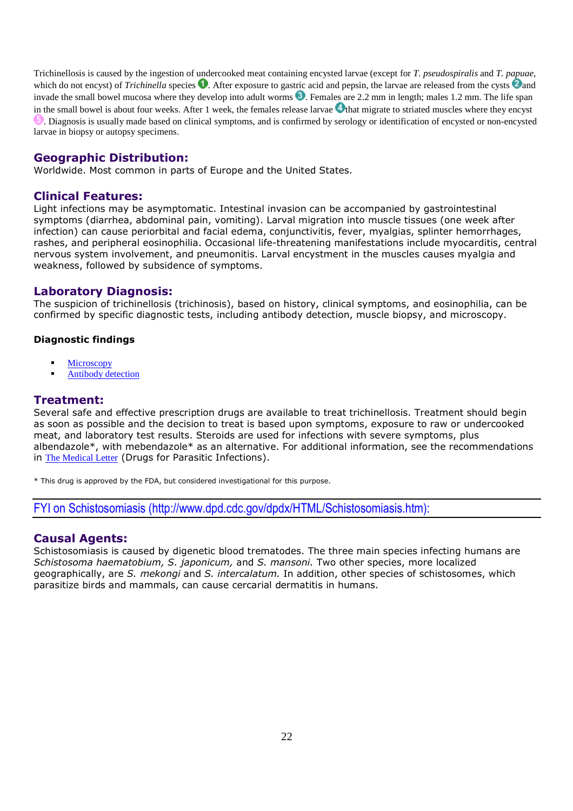Trichinellosis is caused by the ingestion of undercooked meat containing encysted larvae (except for *T. pseudospiralis* and *T. papuae*, which do not encyst) of *Trichinella* species  $\bullet$ . After exposure to gastric acid and pepsin, the larvae are released from the cysts  $\bullet$  and invade the small bowel mucosa where they develop into adult worms  $\bullet$ . Females are 2.2 mm in length; males 1.2 mm. The life span in the small bowel is about four weeks. After 1 week, the females release larvae  $\triangleleft$  that migrate to striated muscles where they encyst . Diagnosis is usually made based on clinical symptoms, and is confirmed by serology or identification of encysted or non-encysted larvae in biopsy or autopsy specimens.

# **Geographic Distribution:**

Worldwide. Most common in parts of Europe and the United States.

# **Clinical Features:**

Light infections may be asymptomatic. Intestinal invasion can be accompanied by gastrointestinal symptoms (diarrhea, abdominal pain, vomiting). Larval migration into muscle tissues (one week after infection) can cause periorbital and facial edema, conjunctivitis, fever, myalgias, splinter hemorrhages, rashes, and peripheral eosinophilia. Occasional life-threatening manifestations include myocarditis, central nervous system involvement, and pneumonitis. Larval encystment in the muscles causes myalgia and weakness, followed by subsidence of symptoms.

# **Laboratory Diagnosis:**

The suspicion of trichinellosis (trichinosis), based on history, clinical symptoms, and eosinophilia, can be confirmed by specific diagnostic tests, including antibody detection, muscle biopsy, and microscopy.

### **Diagnostic findings**

- **Microscopy**
- Antibody detection

# **Treatment:**

Several safe and effective prescription drugs are available to treat trichinellosis. Treatment should begin as soon as possible and the decision to treat is based upon symptoms, exposure to raw or undercooked meat, and laboratory test results. Steroids are used for infections with severe symptoms, plus albendazole\*, with mebendazole\* as an alternative. For additional information, see the recommendations in The Medical Letter (Drugs for Parasitic Infections).

\* This drug is approved by the FDA, but considered investigational for this purpose.

FYI on Schistosomiasis (http://www.dpd.cdc.gov/dpdx/HTML/Schistosomiasis.htm):

# **Causal Agents:**

Schistosomiasis is caused by digenetic blood trematodes. The three main species infecting humans are *Schistosoma haematobium, S. japonicum,* and *S. mansoni.* Two other species, more localized geographically, are *S. mekongi* and *S. intercalatum.* In addition, other species of schistosomes, which parasitize birds and mammals, can cause cercarial dermatitis in humans.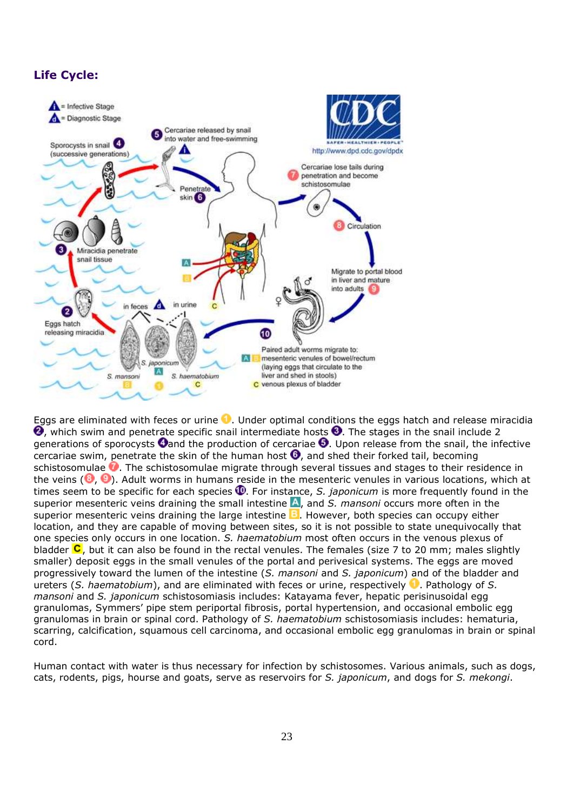# **Life Cycle:**



Eggs are eliminated with feces or urine  $\bullet$ . Under optimal conditions the eggs hatch and release miracidia 0, which swim and penetrate specific snail intermediate hosts <sup>3</sup>. The stages in the snail include 2 generations of sporocysts  $\bullet$  and the production of cercariae  $\bullet$ . Upon release from the snail, the infective cercariae swim, penetrate the skin of the human host  $\Theta$ , and shed their forked tail, becoming schistosomulae  $\bullet$ . The schistosomulae migrate through several tissues and stages to their residence in the veins ( $\bigcirc$ ,  $\bigcirc$ ). Adult worms in humans reside in the mesenteric venules in various locations, which at times seem to be specific for each species  $\Phi$ . For instance, *S. japonicum* is more frequently found in the superior mesenteric veins draining the small intestine A, and S. mansoni occurs more often in the superior mesenteric veins draining the large intestine  $\Xi$ . However, both species can occupy either location, and they are capable of moving between sites, so it is not possible to state unequivocally that one species only occurs in one location. *S. haematobium* most often occurs in the venous plexus of bladder  $\mathsf C$ , but it can also be found in the rectal venules. The females (size 7 to 20 mm; males slightly smaller) deposit eggs in the small venules of the portal and perivesical systems. The eggs are moved progressively toward the lumen of the intestine (*S. mansoni* and *S. japonicum*) and of the bladder and ureters (*S. haematobium*), and are eliminated with feces or urine, respectively **1.** Pathology of *S. mansoni* and *S. japonicum* schistosomiasis includes: Katayama fever, hepatic perisinusoidal egg granulomas, Symmers' pipe stem periportal fibrosis, portal hypertension, and occasional embolic egg granulomas in brain or spinal cord. Pathology of *S. haematobium* schistosomiasis includes: hematuria, scarring, calcification, squamous cell carcinoma, and occasional embolic egg granulomas in brain or spinal cord.

Human contact with water is thus necessary for infection by schistosomes. Various animals, such as dogs, cats, rodents, pigs, hourse and goats, serve as reservoirs for *S. japonicum*, and dogs for *S. mekongi*.